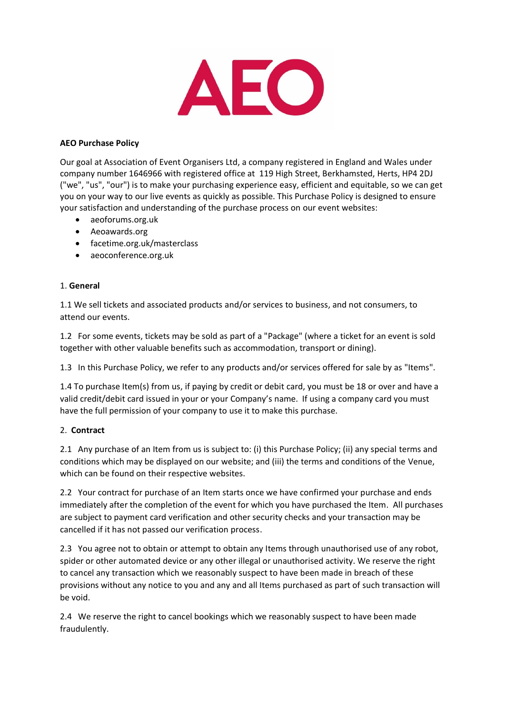

## **AEO Purchase Policy**

Our goal at Association of Event Organisers Ltd, a company registered in England and Wales under company number 1646966 with registered office at 119 High Street, Berkhamsted, Herts, HP4 2DJ ("we", "us", "our") is to make your purchasing experience easy, efficient and equitable, so we can get you on your way to our live events as quickly as possible. This Purchase Policy is designed to ensure your satisfaction and understanding of the purchase process on our event websites:

- aeoforums.org.uk
- Aeoawards.org
- facetime.org.uk/masterclass
- aeoconference.org.uk

## 1. **General**

1.1 We sell tickets and associated products and/or services to business, and not consumers, to attend our events.

1.2 For some events, tickets may be sold as part of a "Package" (where a ticket for an event is sold together with other valuable benefits such as accommodation, transport or dining).

1.3 In this Purchase Policy, we refer to any products and/or services offered for sale by as "Items".

1.4 To purchase Item(s) from us, if paying by credit or debit card, you must be 18 or over and have a valid credit/debit card issued in your or your Company's name. If using a company card you must have the full permission of your company to use it to make this purchase.

#### 2. **Contract**

2.1 Any purchase of an Item from us is subject to: (i) this Purchase Policy; (ii) any special terms and conditions which may be displayed on our website; and (iii) the terms and conditions of the Venue, which can be found on their respective websites.

2.2 Your contract for purchase of an Item starts once we have confirmed your purchase and ends immediately after the completion of the event for which you have purchased the Item. All purchases are subject to payment card verification and other security checks and your transaction may be cancelled if it has not passed our verification process.

2.3 You agree not to obtain or attempt to obtain any Items through unauthorised use of any robot, spider or other automated device or any other illegal or unauthorised activity. We reserve the right to cancel any transaction which we reasonably suspect to have been made in breach of these provisions without any notice to you and any and all Items purchased as part of such transaction will be void.

2.4 We reserve the right to cancel bookings which we reasonably suspect to have been made fraudulently.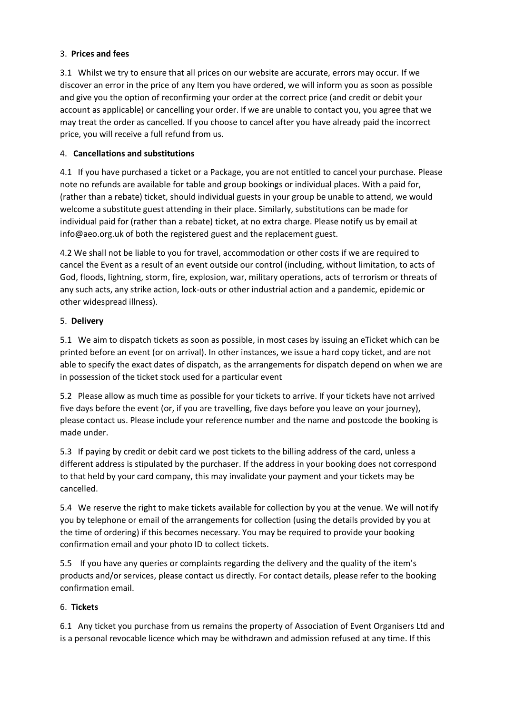# 3. **Prices and fees**

3.1 Whilst we try to ensure that all prices on our website are accurate, errors may occur. If we discover an error in the price of any Item you have ordered, we will inform you as soon as possible and give you the option of reconfirming your order at the correct price (and credit or debit your account as applicable) or cancelling your order. If we are unable to contact you, you agree that we may treat the order as cancelled. If you choose to cancel after you have already paid the incorrect price, you will receive a full refund from us.

# 4. **Cancellations and substitutions**

4.1 If you have purchased a ticket or a Package, you are not entitled to cancel your purchase. Please note no refunds are available for table and group bookings or individual places. With a paid for, (rather than a rebate) ticket, should individual guests in your group be unable to attend, we would welcome a substitute guest attending in their place. Similarly, substitutions can be made for individual paid for (rather than a rebate) ticket, at no extra charge. Please notify us by email at info@aeo.org.uk of both the registered guest and the replacement guest.

4.2 We shall not be liable to you for travel, accommodation or other costs if we are required to cancel the Event as a result of an event outside our control (including, without limitation, to acts of God, floods, lightning, storm, fire, explosion, war, military operations, acts of terrorism or threats of any such acts, any strike action, lock-outs or other industrial action and a pandemic, epidemic or other widespread illness).

# 5. **Delivery**

5.1 We aim to dispatch tickets as soon as possible, in most cases by issuing an eTicket which can be printed before an event (or on arrival). In other instances, we issue a hard copy ticket, and are not able to specify the exact dates of dispatch, as the arrangements for dispatch depend on when we are in possession of the ticket stock used for a particular event

5.2 Please allow as much time as possible for your tickets to arrive. If your tickets have not arrived five days before the event (or, if you are travelling, five days before you leave on your journey), please [contact us.](http://www.ticketmaster.co.uk/h/customer_serve.html) Please include your reference number and the name and postcode the booking is made under.

5.3 If paying by credit or debit card we post tickets to the billing address of the card, unless a different address is stipulated by the purchaser. If the address in your booking does not correspond to that held by your card company, this may invalidate your payment and your tickets may be cancelled.

5.4 We reserve the right to make tickets available for collection by you at the venue. We will notify you by telephone or email of the arrangements for collection (using the details provided by you at the time of ordering) if this becomes necessary. You may be required to provide your booking confirmation email and your photo ID to collect tickets.

5.5 If you have any queries or complaints regarding the delivery and the quality of the item's products and/or services, please contact us directly. For contact details, please refer to the booking confirmation email.

# 6. **Tickets**

6.1 Any ticket you purchase from us remains the property of Association of Event Organisers Ltd and is a personal revocable licence which may be withdrawn and admission refused at any time. If this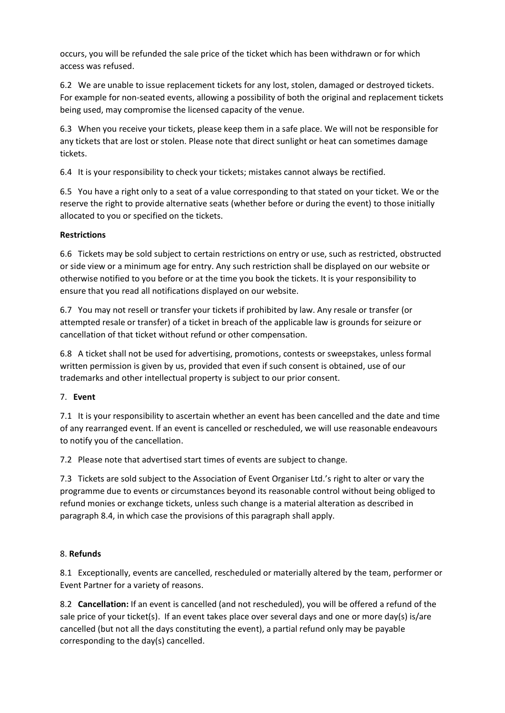occurs, you will be refunded the sale price of the ticket which has been withdrawn or for which access was refused.

6.2 We are unable to issue replacement tickets for any lost, stolen, damaged or destroyed tickets. For example for non-seated events, allowing a possibility of both the original and replacement tickets being used, may compromise the licensed capacity of the venue.

6.3 When you receive your tickets, please keep them in a safe place. We will not be responsible for any tickets that are lost or stolen. Please note that direct sunlight or heat can sometimes damage tickets.

6.4 It is your responsibility to check your tickets; mistakes cannot always be rectified.

6.5 You have a right only to a seat of a value corresponding to that stated on your ticket. We or the reserve the right to provide alternative seats (whether before or during the event) to those initially allocated to you or specified on the tickets.

## **Restrictions**

6.6 Tickets may be sold subject to certain restrictions on entry or use, such as restricted, obstructed or side view or a minimum age for entry. Any such restriction shall be displayed on our website or otherwise notified to you before or at the time you book the tickets. It is your responsibility to ensure that you read all notifications displayed on our website.

6.7 You may not resell or transfer your tickets if prohibited by law. Any resale or transfer (or attempted resale or transfer) of a ticket in breach of the applicable law is grounds for seizure or cancellation of that ticket without refund or other compensation.

6.8 A ticket shall not be used for advertising, promotions, contests or sweepstakes, unless formal written permission is given by us, provided that even if such consent is obtained, use of our trademarks and other intellectual property is subject to our prior consent.

#### 7. **Event**

7.1 It is your responsibility to ascertain whether an event has been cancelled and the date and time of any rearranged event. If an event is cancelled or rescheduled, we will use reasonable endeavours to notify you of the cancellation.

7.2 Please note that advertised start times of events are subject to change.

7.3 Tickets are sold subject to the Association of Event Organiser Ltd.'s right to alter or vary the programme due to events or circumstances beyond its reasonable control without being obliged to refund monies or exchange tickets, unless such change is a material alteration as described in paragraph 8.4, in which case the provisions of this paragraph shall apply.

#### 8. **Refunds**

8.1 Exceptionally, events are cancelled, rescheduled or materially altered by the team, performer or Event Partner for a variety of reasons.

8.2 **Cancellation:** If an event is cancelled (and not rescheduled), you will be offered a refund of the sale price of your ticket(s). If an event takes place over several days and one or more day(s) is/are cancelled (but not all the days constituting the event), a partial refund only may be payable corresponding to the day(s) cancelled.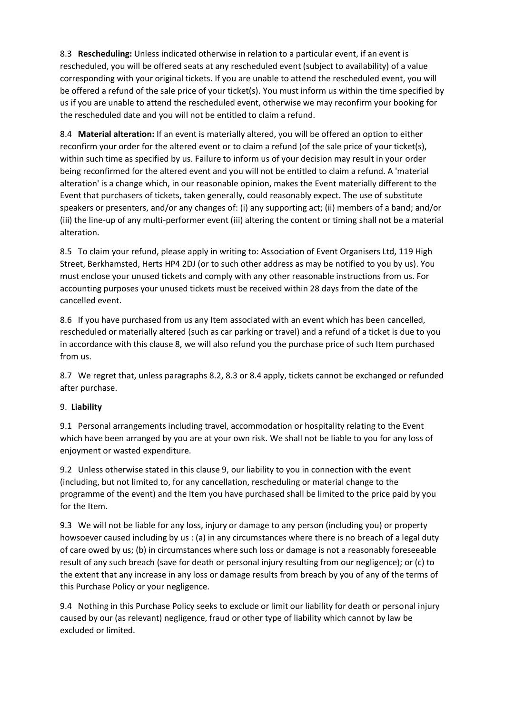8.3 **Rescheduling:** Unless indicated otherwise in relation to a particular event, if an event is rescheduled, you will be offered seats at any rescheduled event (subject to availability) of a value corresponding with your original tickets. If you are unable to attend the rescheduled event, you will be offered a refund of the sale price of your ticket(s). You must inform us within the time specified by us if you are unable to attend the rescheduled event, otherwise we may reconfirm your booking for the rescheduled date and you will not be entitled to claim a refund.

8.4 **Material alteration:** If an event is materially altered, you will be offered an option to either reconfirm your order for the altered event or to claim a refund (of the sale price of your ticket(s), within such time as specified by us. Failure to inform us of your decision may result in your order being reconfirmed for the altered event and you will not be entitled to claim a refund. A 'material alteration' is a change which, in our reasonable opinion, makes the Event materially different to the Event that purchasers of tickets, taken generally, could reasonably expect. The use of substitute speakers or presenters, and/or any changes of: (i) any supporting act; (ii) members of a band; and/or (iii) the line-up of any multi-performer event (iii) altering the content or timing shall not be a material alteration.

8.5 To claim your refund, please apply in writing to: Association of Event Organisers Ltd, 119 High Street, Berkhamsted, Herts HP4 2DJ (or to such other address as may be notified to you by us). You must enclose your unused tickets and comply with any other reasonable instructions from us. For accounting purposes your unused tickets must be received within 28 days from the date of the cancelled event.

8.6 If you have purchased from us any Item associated with an event which has been cancelled, rescheduled or materially altered (such as car parking or travel) and a refund of a ticket is due to you in accordance with this clause 8, we will also refund you the purchase price of such Item purchased from us.

8.7 We regret that, unless paragraphs 8.2, 8.3 or 8.4 apply, tickets cannot be exchanged or refunded after purchase.

# 9. **Liability**

9.1 Personal arrangements including travel, accommodation or hospitality relating to the Event which have been arranged by you are at your own risk. We shall not be liable to you for any loss of enjoyment or wasted expenditure.

9.2 Unless otherwise stated in this clause 9, our liability to you in connection with the event (including, but not limited to, for any cancellation, rescheduling or material change to the programme of the event) and the Item you have purchased shall be limited to the price paid by you for the Item.

9.3 We will not be liable for any loss, injury or damage to any person (including you) or property howsoever caused including by us : (a) in any circumstances where there is no breach of a legal duty of care owed by us; (b) in circumstances where such loss or damage is not a reasonably foreseeable result of any such breach (save for death or personal injury resulting from our negligence); or (c) to the extent that any increase in any loss or damage results from breach by you of any of the terms of this Purchase Policy or your negligence.

9.4 Nothing in this Purchase Policy seeks to exclude or limit our liability for death or personal injury caused by our (as relevant) negligence, fraud or other type of liability which cannot by law be excluded or limited.